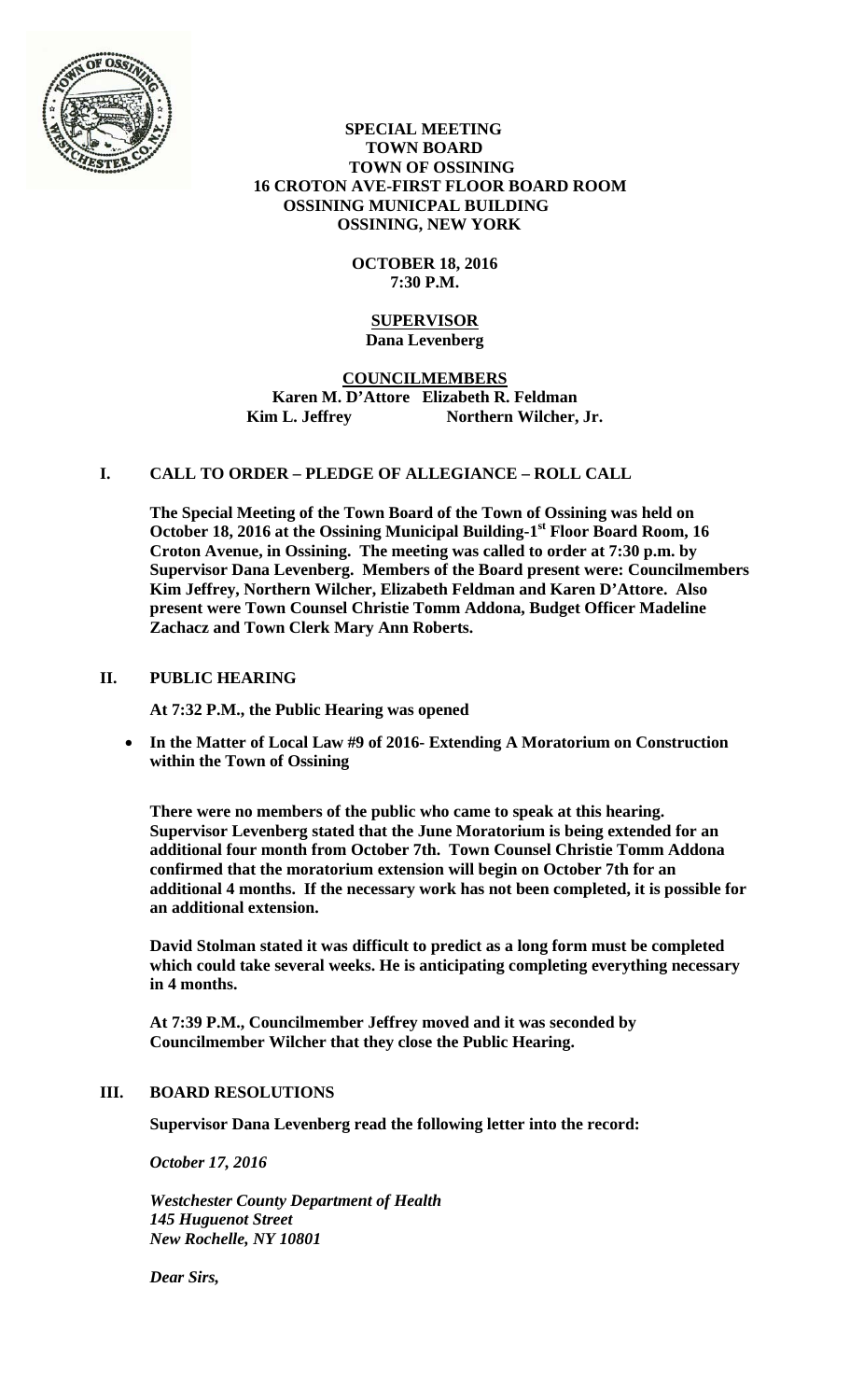

 **SPECIAL MEETING TOWN BOARD TOWN OF OSSINING 16 CROTON AVE-FIRST FLOOR BOARD ROOM OSSINING MUNICPAL BUILDING OSSINING, NEW YORK** 

# **OCTOBER 18, 2016 7:30 P.M.**

#### **SUPERVISOR Dana Levenberg**

# **COUNCILMEMBERS Karen M. D'Attore Elizabeth R. Feldman**  Kim L. Jeffrey Northern Wilcher, Jr.

# **I. CALL TO ORDER – PLEDGE OF ALLEGIANCE – ROLL CALL**

**The Special Meeting of the Town Board of the Town of Ossining was held on October 18, 2016 at the Ossining Municipal Building-1st Floor Board Room, 16 Croton Avenue, in Ossining. The meeting was called to order at 7:30 p.m. by Supervisor Dana Levenberg. Members of the Board present were: Councilmembers Kim Jeffrey, Northern Wilcher, Elizabeth Feldman and Karen D'Attore. Also present were Town Counsel Christie Tomm Addona, Budget Officer Madeline Zachacz and Town Clerk Mary Ann Roberts.** 

### **II. PUBLIC HEARING**

**At 7:32 P.M., the Public Hearing was opened**

 **In the Matter of Local Law #9 of 2016- Extending A Moratorium on Construction within the Town of Ossining**

**There were no members of the public who came to speak at this hearing. Supervisor Levenberg stated that the June Moratorium is being extended for an additional four month from October 7th. Town Counsel Christie Tomm Addona confirmed that the moratorium extension will begin on October 7th for an additional 4 months. If the necessary work has not been completed, it is possible for an additional extension.** 

**David Stolman stated it was difficult to predict as a long form must be completed which could take several weeks. He is anticipating completing everything necessary in 4 months.** 

**At 7:39 P.M., Councilmember Jeffrey moved and it was seconded by Councilmember Wilcher that they close the Public Hearing.**

### **III. BOARD RESOLUTIONS**

**Supervisor Dana Levenberg read the following letter into the record:** 

*October 17, 2016* 

*Westchester County Department of Health 145 Huguenot Street New Rochelle, NY 10801* 

*Dear Sirs,*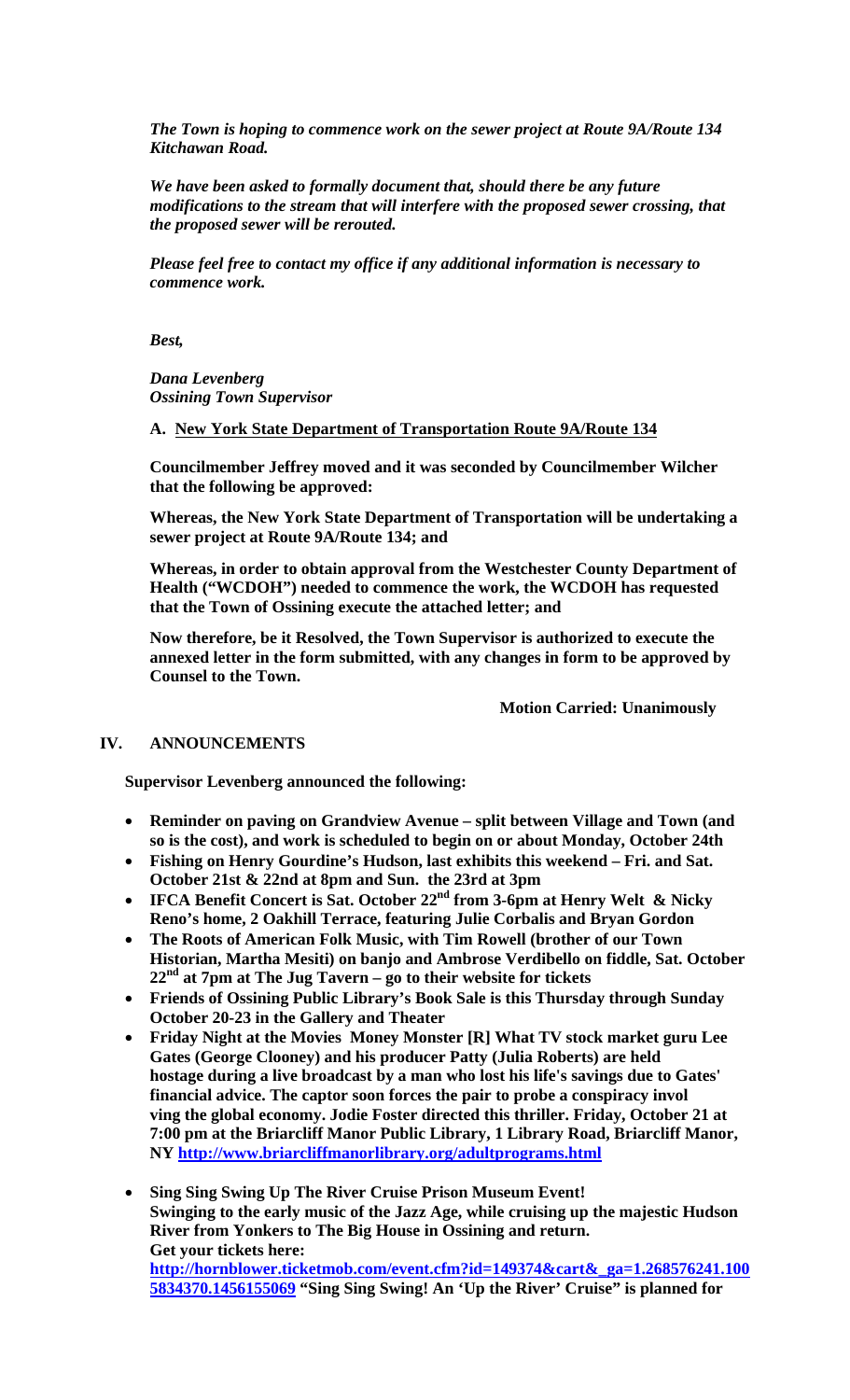*The Town is hoping to commence work on the sewer project at Route 9A/Route 134 Kitchawan Road.* 

*We have been asked to formally document that, should there be any future modifications to the stream that will interfere with the proposed sewer crossing, that the proposed sewer will be rerouted.* 

*Please feel free to contact my office if any additional information is necessary to commence work.* 

*Best,* 

*Dana Levenberg Ossining Town Supervisor* 

**A. New York State Department of Transportation Route 9A/Route 134**

**Councilmember Jeffrey moved and it was seconded by Councilmember Wilcher that the following be approved:** 

**Whereas, the New York State Department of Transportation will be undertaking a sewer project at Route 9A/Route 134; and** 

**Whereas, in order to obtain approval from the Westchester County Department of Health ("WCDOH") needed to commence the work, the WCDOH has requested that the Town of Ossining execute the attached letter; and** 

**Now therefore, be it Resolved, the Town Supervisor is authorized to execute the annexed letter in the form submitted, with any changes in form to be approved by Counsel to the Town.** 

 **Motion Carried: Unanimously** 

### **IV. ANNOUNCEMENTS**

**Supervisor Levenberg announced the following:** 

- **Reminder on paving on Grandview Avenue split between Village and Town (and so is the cost), and work is scheduled to begin on or about Monday, October 24th**
- **Fishing on Henry Gourdine's Hudson, last exhibits this weekend Fri. and Sat. October 21st & 22nd at 8pm and Sun. the 23rd at 3pm**
- **IFCA Benefit Concert is Sat. October 22<sup>nd</sup> from 3-6pm at Henry Welt & Nicky Reno's home, 2 Oakhill Terrace, featuring Julie Corbalis and Bryan Gordon**
- **The Roots of American Folk Music, with Tim Rowell (brother of our Town Historian, Martha Mesiti) on banjo and Ambrose Verdibello on fiddle, Sat. October 22nd at 7pm at The Jug Tavern – go to their website for tickets**
- **Friends of Ossining Public Library's Book Sale is this Thursday through Sunday October 20-23 in the Gallery and Theater**
- **Friday Night at the Movies Money Monster [R] What TV stock market guru Lee Gates (George Clooney) and his producer Patty (Julia Roberts) are held hostage during a live broadcast by a man who lost his life's savings due to Gates' financial advice. The captor soon forces the pair to probe a conspiracy invol ving the global economy. Jodie Foster directed this thriller. Friday, October 21 at 7:00 pm at the Briarcliff Manor Public Library, 1 Library Road, Briarcliff Manor, NY http://www.briarcliffmanorlibrary.org/adultprograms.html**
- **Sing Sing Swing Up The River Cruise Prison Museum Event! Swinging to the early music of the Jazz Age, while cruising up the majestic Hudson River from Yonkers to The Big House in Ossining and return. Get your tickets here: http://hornblower.ticketmob.com/event.cfm?id=149374&cart&\_ga=1.268576241.100 5834370.1456155069 "Sing Sing Swing! An 'Up the River' Cruise" is planned for**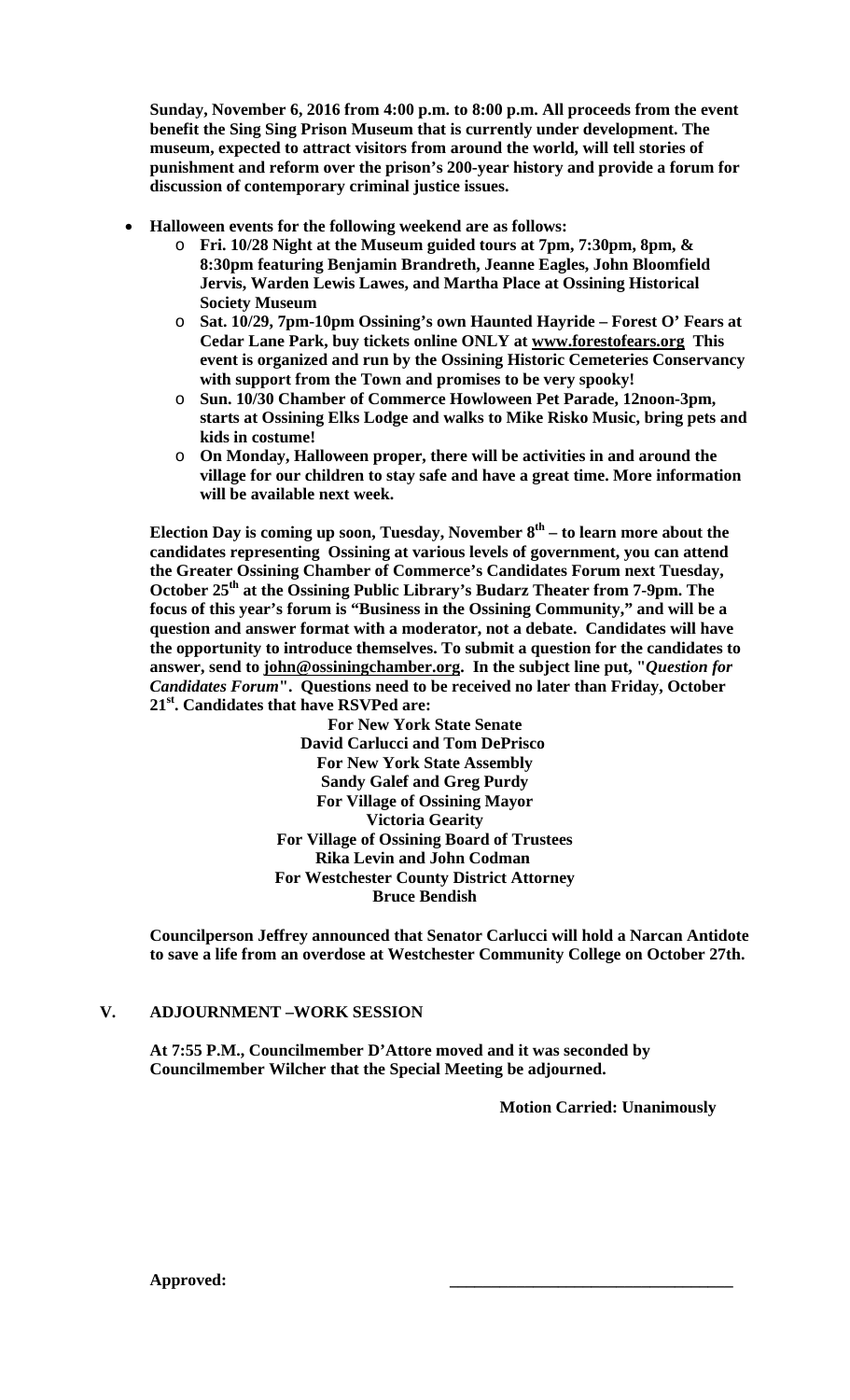**Sunday, November 6, 2016 from 4:00 p.m. to 8:00 p.m. All proceeds from the event benefit the Sing Sing Prison Museum that is currently under development. The museum, expected to attract visitors from around the world, will tell stories of punishment and reform over the prison's 200-year history and provide a forum for discussion of contemporary criminal justice issues.** 

- **Halloween events for the following weekend are as follows:** 
	- o **Fri. 10/28 Night at the Museum guided tours at 7pm, 7:30pm, 8pm, & 8:30pm featuring Benjamin Brandreth, Jeanne Eagles, John Bloomfield Jervis, Warden Lewis Lawes, and Martha Place at Ossining Historical Society Museum**
	- o **Sat. 10/29, 7pm-10pm Ossining's own Haunted Hayride Forest O' Fears at Cedar Lane Park, buy tickets online ONLY at www.forestofears.org This event is organized and run by the Ossining Historic Cemeteries Conservancy with support from the Town and promises to be very spooky!**
	- o **Sun. 10/30 Chamber of Commerce Howloween Pet Parade, 12noon-3pm, starts at Ossining Elks Lodge and walks to Mike Risko Music, bring pets and kids in costume!**
	- o **On Monday, Halloween proper, there will be activities in and around the village for our children to stay safe and have a great time. More information will be available next week.**

**Election Day is coming up soon, Tuesday, November 8th – to learn more about the candidates representing Ossining at various levels of government, you can attend the Greater Ossining Chamber of Commerce's Candidates Forum next Tuesday, October 25th at the Ossining Public Library's Budarz Theater from 7-9pm. The focus of this year's forum is "Business in the Ossining Community," and will be a question and answer format with a moderator, not a debate. Candidates will have the opportunity to introduce themselves. To submit a question for the candidates to answer, send to john@ossiningchamber.org. In the subject line put, "***Question for Candidates Forum***". Questions need to be received no later than Friday, October 21st. Candidates that have RSVPed are:** 

**For New York State Senate David Carlucci and Tom DePrisco For New York State Assembly Sandy Galef and Greg Purdy For Village of Ossining Mayor Victoria Gearity For Village of Ossining Board of Trustees Rika Levin and John Codman For Westchester County District Attorney Bruce Bendish** 

**Councilperson Jeffrey announced that Senator Carlucci will hold a Narcan Antidote to save a life from an overdose at Westchester Community College on October 27th.** 

# **V. ADJOURNMENT –WORK SESSION**

**At 7:55 P.M., Councilmember D'Attore moved and it was seconded by Councilmember Wilcher that the Special Meeting be adjourned.** 

**Motion Carried: Unanimously**